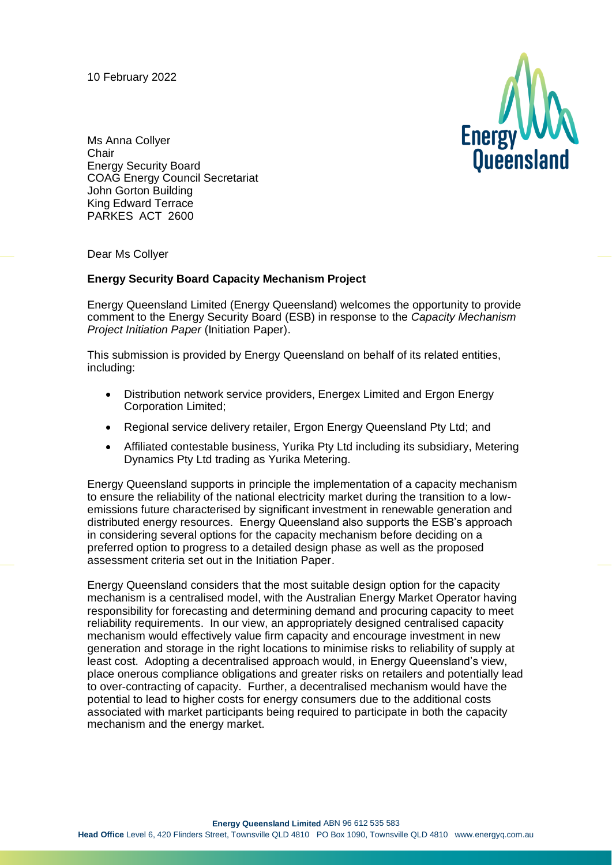10 February 2022



Ms Anna Collyer **Chair** Energy Security Board COAG Energy Council Secretariat John Gorton Building King Edward Terrace PARKES ACT 2600

Dear Ms Collyer

## **Energy Security Board Capacity Mechanism Project**

Energy Queensland Limited (Energy Queensland) welcomes the opportunity to provide comment to the Energy Security Board (ESB) in response to the *Capacity Mechanism Project Initiation Paper* (Initiation Paper).

This submission is provided by Energy Queensland on behalf of its related entities, including:

- Distribution network service providers, Energex Limited and Ergon Energy Corporation Limited;
- Regional service delivery retailer, Ergon Energy Queensland Pty Ltd; and
- Affiliated contestable business, Yurika Pty Ltd including its subsidiary, Metering Dynamics Pty Ltd trading as Yurika Metering.

Energy Queensland supports in principle the implementation of a capacity mechanism to ensure the reliability of the national electricity market during the transition to a lowemissions future characterised by significant investment in renewable generation and distributed energy resources. Energy Queensland also supports the ESB's approach in considering several options for the capacity mechanism before deciding on a preferred option to progress to a detailed design phase as well as the proposed assessment criteria set out in the Initiation Paper.

Energy Queensland considers that the most suitable design option for the capacity mechanism is a centralised model, with the Australian Energy Market Operator having responsibility for forecasting and determining demand and procuring capacity to meet reliability requirements. In our view, an appropriately designed centralised capacity mechanism would effectively value firm capacity and encourage investment in new generation and storage in the right locations to minimise risks to reliability of supply at least cost. Adopting a decentralised approach would, in Energy Queensland's view, place onerous compliance obligations and greater risks on retailers and potentially lead to over-contracting of capacity. Further, a decentralised mechanism would have the potential to lead to higher costs for energy consumers due to the additional costs associated with market participants being required to participate in both the capacity mechanism and the energy market.